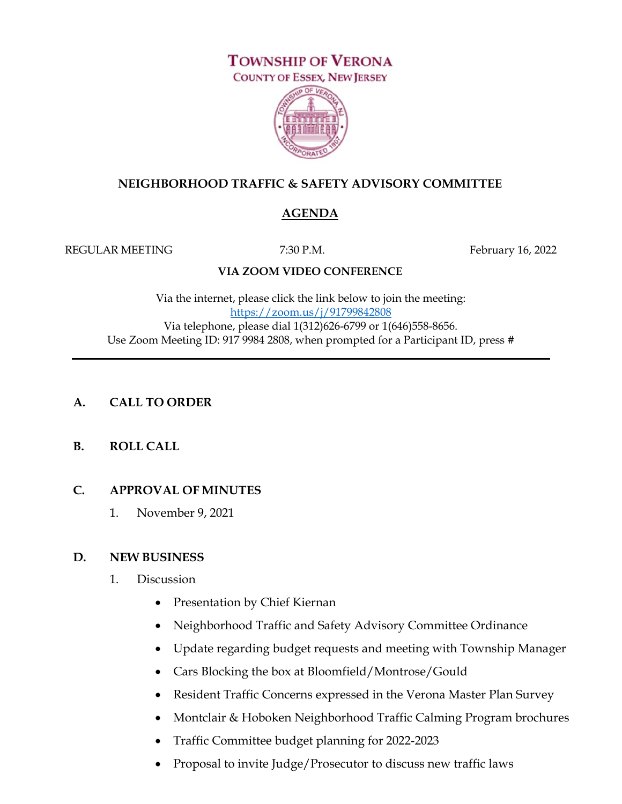# **TOWNSHIP OF VERONA**



#### **NEIGHBORHOOD TRAFFIC & SAFETY ADVISORY COMMITTEE**

## **AGENDA**

REGULAR MEETING 7:30 P.M. THE FEBRUARY 16, 2022

#### **VIA ZOOM VIDEO CONFERENCE**

Via the internet, please click the link below to join the meeting: https://zoom.us/j/91799842808 Via telephone, please dial 1(312)626-6799 or 1(646)558-8656. Use Zoom Meeting ID: 917 9984 2808, when prompted for a Participant ID, press #

## **A. CALL TO ORDER**

## **B. ROLL CALL**

#### **C. APPROVAL OF MINUTES**

1. November 9, 2021

#### **D. NEW BUSINESS**

- 1. Discussion
	- Presentation by Chief Kiernan
	- Neighborhood Traffic and Safety Advisory Committee Ordinance
	- Update regarding budget requests and meeting with Township Manager
	- Cars Blocking the box at Bloomfield/Montrose/Gould
	- Resident Traffic Concerns expressed in the Verona Master Plan Survey
	- Montclair & Hoboken Neighborhood Traffic Calming Program brochures
	- Traffic Committee budget planning for 2022-2023
	- Proposal to invite Judge/Prosecutor to discuss new traffic laws